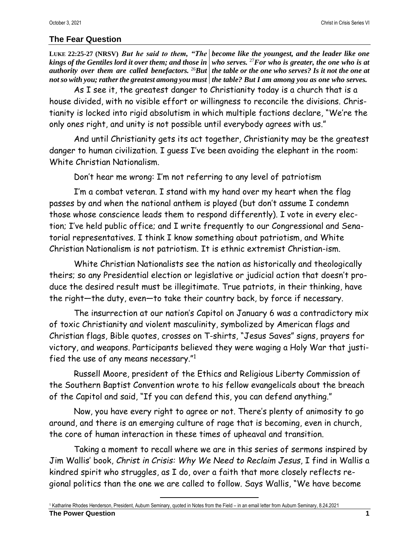## **The Fear Question**

**LUKE 22:25-27 (NRSV)** *But he said to them, "The become like the youngest, and the leader like one kings of the Gentiles lord it over them; and those in who serves.* <sup>27</sup>*For who is greater, the one who is at authority over them are called benefactors.* <sup>26</sup>*But the table or the one who serves? Is it not the one at not so with you; rather the greatest among you must the table? But I am among you as one who serves.*

As I see it, the greatest danger to Christianity today is a church that is a house divided, with no visible effort or willingness to reconcile the divisions. Christianity is locked into rigid absolutism in which multiple factions declare, "We're the only ones right, and unity is not possible until everybody agrees with us."

And until Christianity gets its act together, Christianity may be the greatest danger to human civilization. I guess I've been avoiding the elephant in the room: White Christian Nationalism.

Don't hear me wrong: I'm not referring to any level of patriotism

I'm a combat veteran. I stand with my hand over my heart when the flag passes by and when the national anthem is played (but don't assume I condemn those whose conscience leads them to respond differently). I vote in every election; I've held public office; and I write frequently to our Congressional and Senatorial representatives. I think I know something about patriotism, and White Christian Nationalism is not patriotism. It is ethnic extremist Christian-ism.

White Christian Nationalists see the nation as historically and theologically theirs; so any Presidential election or legislative or judicial action that doesn't produce the desired result must be illegitimate. True patriots, in their thinking, have the right—the duty, even—to take their country back, by force if necessary.

The insurrection at our nation's Capitol on January 6 was a contradictory mix of toxic Christianity and violent masculinity, symbolized by American flags and Christian flags, Bible quotes, crosses on T-shirts, "Jesus Saves" signs, prayers for victory, and weapons. Participants believed they were waging a Holy War that justified the use of any means necessary."<sup>1</sup>

Russell Moore, president of the Ethics and Religious Liberty Commission of the Southern Baptist Convention wrote to his fellow evangelicals about the breach of the Capitol and said, "If you can defend this, you can defend anything."

Now, you have every right to agree or not. There's plenty of animosity to go around, and there is an emerging culture of rage that is becoming, even in church, the core of human interaction in these times of upheaval and transition.

Taking a moment to recall where we are in this series of sermons inspired by Jim Wallis' book, *Christ in Crisis: Why We Need to Reclaim Jesus*, I find in Wallis a kindred spirit who struggles, as I do, over a faith that more closely reflects regional politics than the one we are called to follow. Says Wallis, "We have become

<sup>1</sup> Katharine Rhodes Henderson, President, Auburn Seminary, quoted in Notes from the Field – in an email letter from Auburn Seminary, 8.24.2021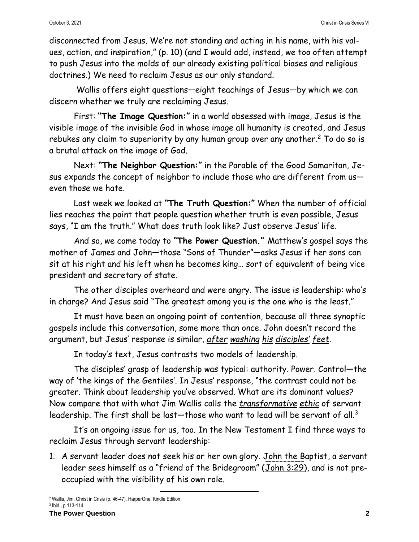disconnected from Jesus. We're not standing and acting in his name, with his values, action, and inspiration," (p. 10) (and I would add, instead, we too often attempt to push Jesus into the molds of our already existing political biases and religious doctrines.) We need to reclaim Jesus as our only standard.

Wallis offers eight questions—eight teachings of Jesus—by which we can discern whether we truly are reclaiming Jesus.

First: **"The Image Question:"** in a world obsessed with image, Jesus is the visible image of the invisible God in whose image all humanity is created, and Jesus rebukes any claim to superiority by any human group over any another. $^2$  To do so is a brutal attack on the image of God.

Next: **"The Neighbor Question:"** in the Parable of the Good Samaritan, Jesus expands the concept of neighbor to include those who are different from useven those we hate.

Last week we looked at **"The Truth Question:"** When the number of official lies reaches the point that people question whether truth is even possible, Jesus says, "I am the truth." What does truth look like? Just observe Jesus' life.

And so, we come today to **"The Power Question."** Matthew's gospel says the mother of James and John—those "Sons of Thunder"—asks Jesus if her sons can sit at his right and his left when he becomes king… sort of equivalent of being vice president and secretary of state.

The other disciples overheard and were angry. The issue is leadership: who's in charge? And Jesus said "The greatest among you is the one who is the least."

It must have been an ongoing point of contention, because all three synoptic gospels include this conversation, some more than once. John doesn't record the argument, but Jesus' response is similar, *after washing his disciples' feet*.

In today's text, Jesus contrasts two models of leadership.

The disciples' grasp of leadership was typical: authority. Power. Control—the way of 'the kings of the Gentiles'. In Jesus' response, "the contrast could not be greater. Think about leadership you've observed. What are its dominant values? Now compare that with what Jim Wallis calls the *transformative ethic* of servant leadership. The first shall be last $-$ those who want to lead will be servant of all. $^3$ 

It's an ongoing issue for us, too. In the New Testament I find three ways to reclaim Jesus through servant leadership:

1. A servant leader does not seek his or her own glory. John the Baptist, a servant leader sees himself as a "friend of the Bridegroom" (John [3:29\)](https://biblia.com/bible/esv/John%203.29), and is not preoccupied with the visibility of his own role.

<sup>2</sup> Wallis, Jim. Christ in Crisis (p. 46-47). HarperOne. Kindle Edition. 3 Ibid., p 113-114.